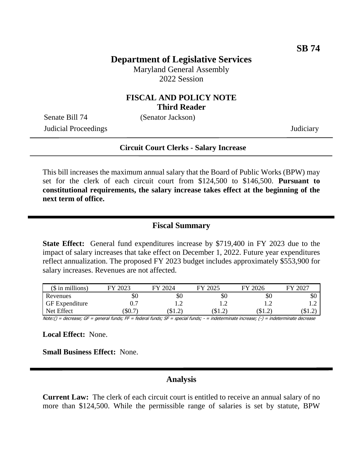## **Department of Legislative Services**

Maryland General Assembly 2022 Session

### **FISCAL AND POLICY NOTE Third Reader**

Senate Bill 74 (Senator Jackson)

Judicial Proceedings Judiciary

# **Circuit Court Clerks - Salary Increase**

This bill increases the maximum annual salary that the Board of Public Works (BPW) may set for the clerk of each circuit court from \$124,500 to \$146,500. **Pursuant to constitutional requirements, the salary increase takes effect at the beginning of the next term of office.**

#### **Fiscal Summary**

**State Effect:** General fund expenditures increase by \$719,400 in FY 2023 due to the impact of salary increases that take effect on December 1, 2022. Future year expenditures reflect annualization. The proposed FY 2023 budget includes approximately \$553,900 for salary increases. Revenues are not affected.

| $($$ in millions)     | 2023<br>FУ | 2024<br>FV | 2025<br>FV | 2026<br>FV | $202^-$<br>FV |
|-----------------------|------------|------------|------------|------------|---------------|
| Revenues              | ЭU         | \$0        | \$0        | УU         | \$0           |
| <b>GF</b> Expenditure | $0.7\,$    |            |            | .          |               |
| Net Effect            | \$0.7      | / 10 L د   | J.L.2      |            | ∠…⊔ اب        |

Note:() = decrease; GF = general funds; FF = federal funds; SF = special funds; - = indeterminate increase; (-) = indeterminate decrease

**Local Effect:** None.

**Small Business Effect:** None.

## **Analysis**

**Current Law:** The clerk of each circuit court is entitled to receive an annual salary of no more than \$124,500. While the permissible range of salaries is set by statute, BPW